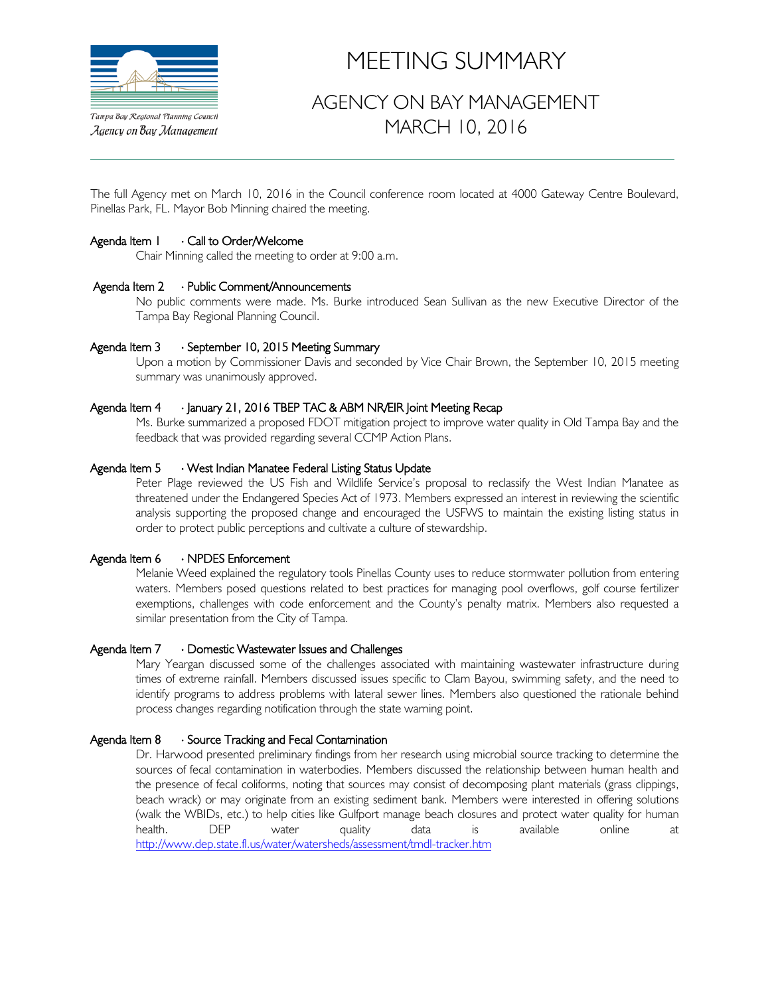

Agency on Bay Management

# MEETING SUMMARY

# AGENCY ON BAY MANAGEMENT MARCH 10, 2016

The full Agency met on March 10, 2016 in the Council conference room located at 4000 Gateway Centre Boulevard, Pinellas Park, FL. Mayor Bob Minning chaired the meeting.

#### Agenda Item 1 ⋅ Call to Order/Welcome

Chair Minning called the meeting to order at 9:00 a.m.

#### Agenda Item 2 ⋅ Public Comment/Announcements

No public comments were made. Ms. Burke introduced Sean Sullivan as the new Executive Director of the Tampa Bay Regional Planning Council.

#### Agenda Item 3 ⋅ September 10, 2015 Meeting Summary

Upon a motion by Commissioner Davis and seconded by Vice Chair Brown, the September 10, 2015 meeting summary was unanimously approved.

#### Agenda Item 4 · January 21, 2016 TBEP TAC & ABM NR/EIR Joint Meeting Recap

Ms. Burke summarized a proposed FDOT mitigation project to improve water quality in Old Tampa Bay and the feedback that was provided regarding several CCMP Action Plans.

#### Agenda Item 5 · West Indian Manatee Federal Listing Status Update

Peter Plage reviewed the US Fish and Wildlife Service's proposal to reclassify the West Indian Manatee as threatened under the Endangered Species Act of 1973. Members expressed an interest in reviewing the scientific analysis supporting the proposed change and encouraged the USFWS to maintain the existing listing status in order to protect public perceptions and cultivate a culture of stewardship.

#### Agenda Item 6 ⋅ NPDES Enforcement

Melanie Weed explained the regulatory tools Pinellas County uses to reduce stormwater pollution from entering waters. Members posed questions related to best practices for managing pool overflows, golf course fertilizer exemptions, challenges with code enforcement and the County's penalty matrix. Members also requested a similar presentation from the City of Tampa.

#### Agenda Item 7 ⋅ Domestic Wastewater Issues and Challenges

Mary Yeargan discussed some of the challenges associated with maintaining wastewater infrastructure during times of extreme rainfall. Members discussed issues specific to Clam Bayou, swimming safety, and the need to identify programs to address problems with lateral sewer lines. Members also questioned the rationale behind process changes regarding notification through the state warning point.

#### Agenda Item 8 ⋅ Source Tracking and Fecal Contamination

Dr. Harwood presented preliminary findings from her research using microbial source tracking to determine the sources of fecal contamination in waterbodies. Members discussed the relationship between human health and the presence of fecal coliforms, noting that sources may consist of decomposing plant materials (grass clippings, beach wrack) or may originate from an existing sediment bank. Members were interested in offering solutions (walk the WBIDs, etc.) to help cities like Gulfport manage beach closures and protect water quality for human health. DEP water quality data is available online at <http://www.dep.state.fl.us/water/watersheds/assessment/tmdl-tracker.htm>